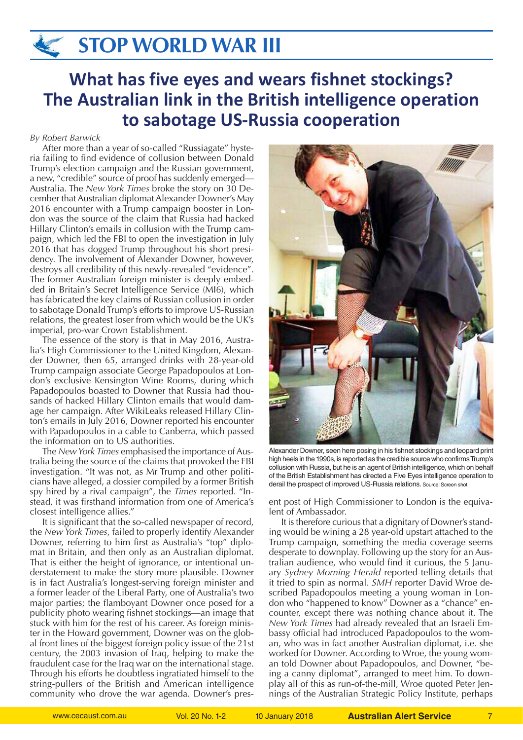# **STOP WORLD WAR III**

## **What has five eyes and wears fishnet stockings? The Australian link in the British intelligence operation to sabotage US-Russia cooperation**

### *By Robert Barwick*

After more than a year of so-called "Russiagate" hysteria failing to find evidence of collusion between Donald Trump's election campaign and the Russian government, a new, "credible" source of proof has suddenly emerged— Australia. The *New York Times* broke the story on 30 December that Australian diplomat Alexander Downer's May 2016 encounter with a Trump campaign booster in London was the source of the claim that Russia had hacked Hillary Clinton's emails in collusion with the Trump campaign, which led the FBI to open the investigation in July 2016 that has dogged Trump throughout his short presidency. The involvement of Alexander Downer, however, destroys all credibility of this newly-revealed "evidence". The former Australian foreign minister is deeply embedded in Britain's Secret Intelligence Service (MI6), which has fabricated the key claims of Russian collusion in order to sabotage Donald Trump's efforts to improve US-Russian relations, the greatest loser from which would be the UK's imperial, pro-war Crown Establishment.

The essence of the story is that in May 2016, Australia's High Commissioner to the United Kingdom, Alexander Downer, then 65, arranged drinks with 28-year-old Trump campaign associate George Papadopoulos at London's exclusive Kensington Wine Rooms, during which Papadopoulos boasted to Downer that Russia had thousands of hacked Hillary Clinton emails that would damage her campaign. After WikiLeaks released Hillary Clinton's emails in July 2016, Downer reported his encounter with Papadopoulos in a cable to Canberra, which passed the information on to US authorities.

The *New York Times* emphasised the importance of Australia being the source of the claims that provoked the FBI investigation. "It was not, as Mr Trump and other politicians have alleged, a dossier compiled by a former British spy hired by a rival campaign", the *Times* reported. "Instead, it was firsthand information from one of America's closest intelligence allies."

It is significant that the so-called newspaper of record, the *New York Times*, failed to properly identify Alexander Downer, referring to him first as Australia's "top" diplomat in Britain, and then only as an Australian diplomat. That is either the height of ignorance, or intentional understatement to make the story more plausible. Downer is in fact Australia's longest-serving foreign minister and a former leader of the Liberal Party, one of Australia's two major parties; the flamboyant Downer once posed for a publicity photo wearing fishnet stockings—an image that stuck with him for the rest of his career. As foreign minister in the Howard government, Downer was on the global front lines of the biggest foreign policy issue of the 21st century, the 2003 invasion of Iraq, helping to make the fraudulent case for the Iraq war on the international stage. Through his efforts he doubtless ingratiated himself to the string-pullers of the British and American intelligence community who drove the war agenda. Downer's pres-



Alexander Downer, seen here posing in his fishnet stockings and leopard print high heels in the 1990s, is reported as the credible source who confirms Trump's collusion with Russia, but he is an agent of British intelligence, which on behalf of the British Establishment has directed a Five Eyes intelligence operation to derail the prospect of improved US-Russia relations. Source: Screen shot.

ent post of High Commissioner to London is the equivalent of Ambassador.

It is therefore curious that a dignitary of Downer's standing would be wining a 28 year-old upstart attached to the Trump campaign, something the media coverage seems desperate to downplay. Following up the story for an Australian audience, who would find it curious, the 5 January *Sydney Morning Herald* reported telling details that it tried to spin as normal. *SMH* reporter David Wroe described Papadopoulos meeting a young woman in London who "happened to know" Downer as a "chance" encounter, except there was nothing chance about it. The *New York Times* had already revealed that an Israeli Embassy official had introduced Papadopoulos to the woman, who was in fact another Australian diplomat, i.e. she worked for Downer. According to Wroe, the young woman told Downer about Papadopoulos, and Downer, "being a canny diplomat", arranged to meet him. To downplay all of this as run-of-the-mill, Wroe quoted Peter Jennings of the Australian Strategic Policy Institute, perhaps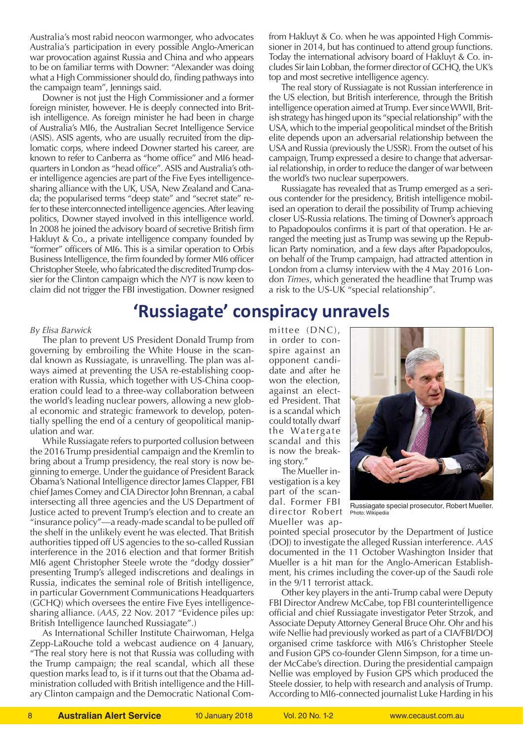Australia's most rabid neocon warmonger, who advocates Australia's participation in every possible Anglo-American war provocation against Russia and China and who appears to be on familiar terms with Downer: "Alexander was doing what a High Commissioner should do, finding pathways into the campaign team", Jennings said.

Downer is not just the High Commissioner and a former foreign minister, however. He is deeply connected into British intelligence. As foreign minister he had been in charge of Australia's MI6, the Australian Secret Intelligence Service (ASIS). ASIS agents, who are usually recruited from the diplomatic corps, where indeed Downer started his career, are known to refer to Canberra as "home office" and MI6 headquarters in London as "head office". ASIS and Australia's other intelligence agencies are part of the Five Eyes intelligencesharing alliance with the UK, USA, New Zealand and Canada; the popularised terms "deep state" and "secret state" refer to these interconnected intelligence agencies. After leaving politics, Downer stayed involved in this intelligence world. In 2008 he joined the advisory board of secretive British firm Hakluyt & Co., a private intelligence company founded by "former" officers of MI6. This is a similar operation to Orbis Business Intelligence, the firm founded by former MI6 officer Christopher Steele, who fabricated the discredited Trump dossier for the Clinton campaign which the *NYT* is now keen to claim did not trigger the FBI investigation. Downer resigned from Hakluyt & Co. when he was appointed High Commissioner in 2014, but has continued to attend group functions. Today the international advisory board of Hakluyt & Co. includes Sir Iain Lobban, the former director of GCHQ, the UK's top and most secretive intelligence agency.

The real story of Russiagate is not Russian interference in the US election, but British interference, through the British intelligence operation aimed at Trump. Ever since WWII, British strategy has hinged upon its "special relationship" with the USA, which to the imperial geopolitical mindset of the British elite depends upon an adversarial relationship between the USA and Russia (previously the USSR). From the outset of his campaign, Trump expressed a desire to change that adversarial relationship, in order to reduce the danger of war between the world's two nuclear superpowers.

Russiagate has revealed that as Trump emerged as a serious contender for the presidency, British intelligence mobilised an operation to derail the possibility of Trump achieving closer US-Russia relations. The timing of Downer's approach to Papadopoulos confirms it is part of that operation. He arranged the meeting just as Trump was sewing up the Republican Party nomination, and a few days after Papadopoulos, on behalf of the Trump campaign, had attracted attention in London from a clumsy interview with the 4 May 2016 London *Times*, which generated the headline that Trump was a risk to the US-UK "special relationship".

### **'Russiagate' conspiracy unravels**

### *By Elisa Barwick*

The plan to prevent US President Donald Trump from governing by embroiling the White House in the scandal known as Russiagate, is unravelling. The plan was always aimed at preventing the USA re-establishing cooperation with Russia, which together with US-China cooperation could lead to a three-way collaboration between the world's leading nuclear powers, allowing a new global economic and strategic framework to develop, potentially spelling the end of a century of geopolitical manipulation and war.

While Russiagate refers to purported collusion between the 2016 Trump presidential campaign and the Kremlin to bring about a Trump presidency, the real story is now beginning to emerge. Under the guidance of President Barack Obama's National Intelligence director James Clapper, FBI chief James Comey and CIA Director John Brennan, a cabal intersecting all three agencies and the US Department of Justice acted to prevent Trump's election and to create an "insurance policy"—a ready-made scandal to be pulled off the shelf in the unlikely event he was elected. That British authorities tipped off US agencies to the so-called Russian interference in the 2016 election and that former British MI6 agent Christopher Steele wrote the "dodgy dossier" presenting Trump's alleged indiscretions and dealings in Russia, indicates the seminal role of British intelligence, in particular Government Communications Headquarters (GCHQ) which oversees the entire Five Eyes intelligencesharing alliance. (*AAS*, 22 Nov. 2017 "Evidence piles up: British Intelligence launched Russiagate".)

As International Schiller Institute Chairwoman, Helga Zepp-LaRouche told a webcast audience on 4 January, "The real story here is not that Russia was colluding with the Trump campaign; the real scandal, which all these question marks lead to, is if it turns out that the Obama administration colluded with British intelligence and the Hillary Clinton campaign and the Democratic National Com-

mittee (DNC), in order to conspire against an opponent candidate and after he won the election, against an elected President. That is a scandal which could totally dwarf the Watergate scandal and this is now the breaking story."

The Mueller investigation is a key part of the scandal. Former FBI director Robert Mueller was ap-



Russiagate special prosecutor, Robert Mueller. Photo: Wikipedia

pointed special prosecutor by the Department of Justice (DOJ) to investigate the alleged Russian interference. *AAS* documented in the 11 October Washington Insider that Mueller is a hit man for the Anglo-American Establishment, his crimes including the cover-up of the Saudi role in the 9/11 terrorist attack.

Other key players in the anti-Trump cabal were Deputy FBI Director Andrew McCabe, top FBI counterintelligence official and chief Russiagate investigator Peter Strzok, and Associate Deputy Attorney General Bruce Ohr. Ohr and his wife Nellie had previously worked as part of a CIA/FBI/DOJ organised crime taskforce with MI6's Christopher Steele and Fusion GPS co-founder Glenn Simpson, for a time under McCabe's direction. During the presidential campaign Nellie was employed by Fusion GPS which produced the Steele dossier, to help with research and analysis of Trump. According to MI6-connected journalist Luke Harding in his